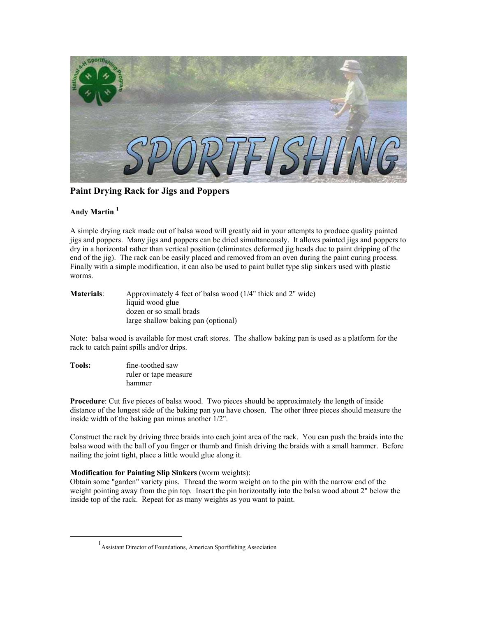

**Paint Drying Rack for Jigs and Poppers** 

## **Andy Martin [1](#page-0-0)**

A simple drying rack made out of balsa wood will greatly aid in your attempts to produce quality painted jigs and poppers. Many jigs and poppers can be dried simultaneously. It allows painted jigs and poppers to dry in a horizontal rather than vertical position (eliminates deformed jig heads due to paint dripping of the end of the jig). The rack can be easily placed and removed from an oven during the paint curing process. Finally with a simple modification, it can also be used to paint bullet type slip sinkers used with plastic worms.

| <b>Materials:</b> | Approximately 4 feet of balsa wood (1/4" thick and 2" wide) |
|-------------------|-------------------------------------------------------------|
|                   | liquid wood glue                                            |
|                   | dozen or so small brads                                     |
|                   | large shallow baking pan (optional)                         |

Note: balsa wood is available for most craft stores. The shallow baking pan is used as a platform for the rack to catch paint spills and/or drips.

**Tools:** fine-toothed saw ruler or tape measure hammer

**Procedure**: Cut five pieces of balsa wood. Two pieces should be approximately the length of inside distance of the longest side of the baking pan you have chosen. The other three pieces should measure the inside width of the baking pan minus another 1/2".

Construct the rack by driving three braids into each joint area of the rack. You can push the braids into the balsa wood with the ball of you finger or thumb and finish driving the braids with a small hammer. Before nailing the joint tight, place a little would glue along it.

## **Modification for Painting Slip Sinkers** (worm weights):

Obtain some "garden" variety pins. Thread the worm weight on to the pin with the narrow end of the weight pointing away from the pin top. Insert the pin horizontally into the balsa wood about 2" below the inside top of the rack. Repeat for as many weights as you want to paint.

<span id="page-0-0"></span><sup>&</sup>lt;u>1</u> Assistant Director of Foundations, American Sportfishing Association